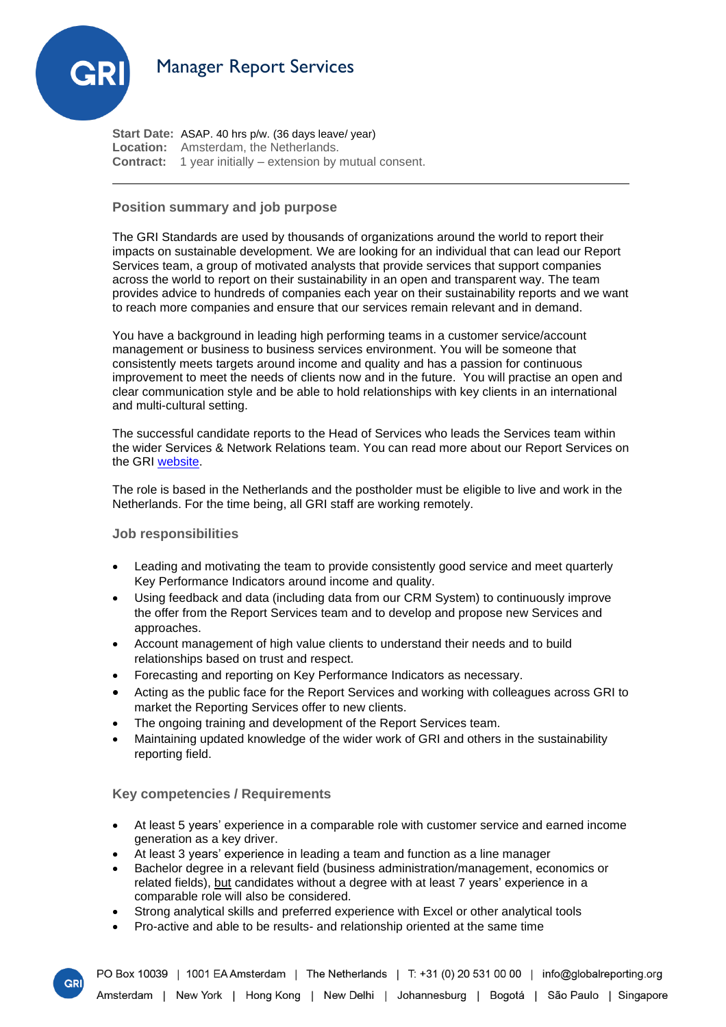

**Start Date:** ASAP. 40 hrs p/w. (36 days leave/ year) **Location:** Amsterdam, the Netherlands. **Contract:** 1 year initially – extension by mutual consent.

## **Position summary and job purpose**

The GRI Standards are used by thousands of organizations around the world to report their impacts on sustainable development. We are looking for an individual that can lead our Report Services team, a group of motivated analysts that provide services that support companies across the world to report on their sustainability in an open and transparent way. The team provides advice to hundreds of companies each year on their sustainability reports and we want to reach more companies and ensure that our services remain relevant and in demand.

You have a background in leading high performing teams in a customer service/account management or business to business services environment. You will be someone that consistently meets targets around income and quality and has a passion for continuous improvement to meet the needs of clients now and in the future. You will practise an open and clear communication style and be able to hold relationships with key clients in an international and multi-cultural setting.

The successful candidate reports to the Head of Services who leads the Services team within the wider Services & Network Relations team. You can read more about our Report Services on the GRI [website.](https://www.globalreporting.org/reporting-support/services/) 

The role is based in the Netherlands and the postholder must be eligible to live and work in the Netherlands. For the time being, all GRI staff are working remotely.

## **Job responsibilities**

- Leading and motivating the team to provide consistently good service and meet quarterly Key Performance Indicators around income and quality.
- Using feedback and data (including data from our CRM System) to continuously improve the offer from the Report Services team and to develop and propose new Services and approaches.
- Account management of high value clients to understand their needs and to build relationships based on trust and respect.
- Forecasting and reporting on Key Performance Indicators as necessary.
- Acting as the public face for the Report Services and working with colleagues across GRI to market the Reporting Services offer to new clients.
- The ongoing training and development of the Report Services team.
- Maintaining updated knowledge of the wider work of GRI and others in the sustainability reporting field.

**Key competencies / Requirements**

- At least 5 years' experience in a comparable role with customer service and earned income generation as a key driver.
- At least 3 years' experience in leading a team and function as a line manager
- Bachelor degree in a relevant field (business administration/management, economics or related fields), but candidates without a degree with at least 7 years' experience in a comparable role will also be considered.
- Strong analytical skills and preferred experience with Excel or other analytical tools
- Pro-active and able to be results- and relationship oriented at the same time